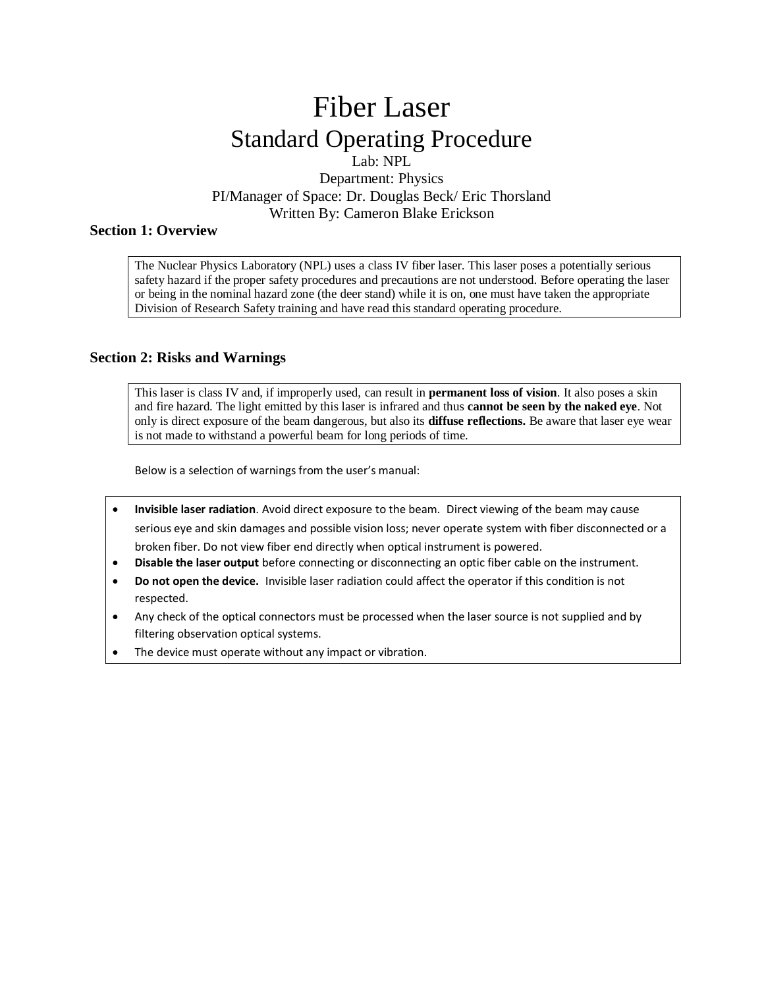# Fiber Laser Standard Operating Procedure

Lab: NPL Department: Physics PI/Manager of Space: Dr. Douglas Beck/ Eric Thorsland Written By: Cameron Blake Erickson

## **Section 1: Overview**

The Nuclear Physics Laboratory (NPL) uses a class IV fiber laser. This laser poses a potentially serious safety hazard if the proper safety procedures and precautions are not understood. Before operating the laser or being in the nominal hazard zone (the deer stand) while it is on, one must have taken the appropriate Division of Research Safety training and have read this standard operating procedure.

## **Section 2: Risks and Warnings**

This laser is class IV and, if improperly used, can result in **permanent loss of vision**. It also poses a skin and fire hazard. The light emitted by this laser is infrared and thus **cannot be seen by the naked eye**. Not only is direct exposure of the beam dangerous, but also its **diffuse reflections.** Be aware that laser eye wear is not made to withstand a powerful beam for long periods of time.

Below is a selection of warnings from the user's manual:

- **Invisible laser radiation**. Avoid direct exposure to the beam. Direct viewing of the beam may cause serious eye and skin damages and possible vision loss; never operate system with fiber disconnected or a broken fiber. Do not view fiber end directly when optical instrument is powered.
- **Disable the laser output** before connecting or disconnecting an optic fiber cable on the instrument.
- **Do not open the device.** Invisible laser radiation could affect the operator if this condition is not respected.
- Any check of the optical connectors must be processed when the laser source is not supplied and by filtering observation optical systems.
- The device must operate without any impact or vibration.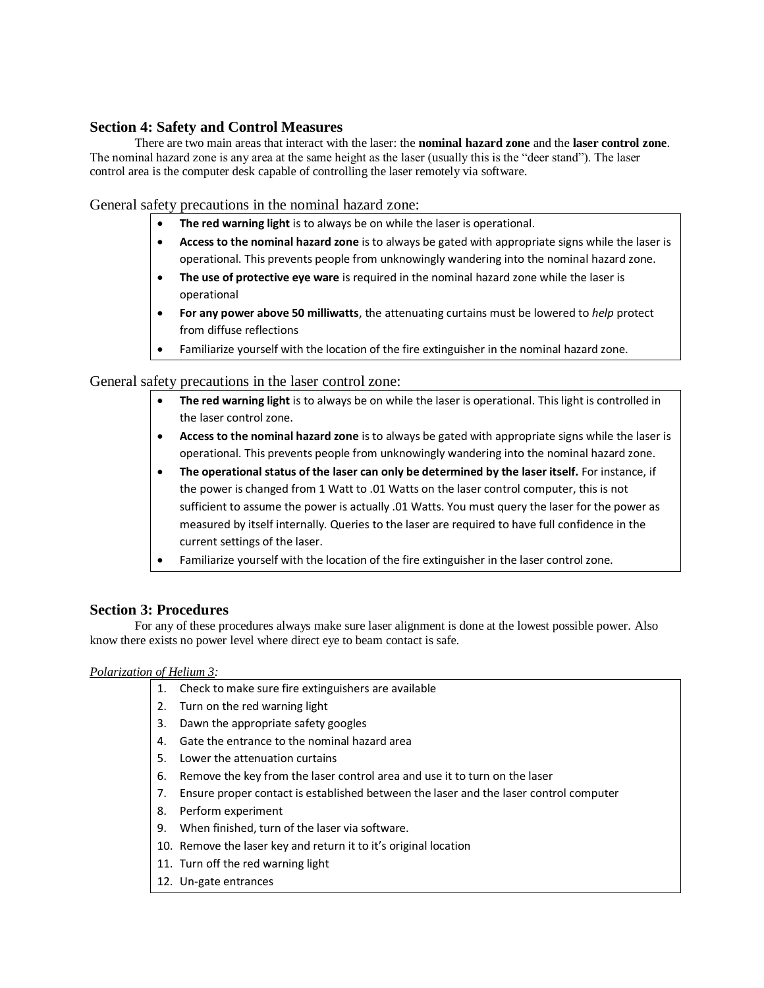# **Section 4: Safety and Control Measures**

There are two main areas that interact with the laser: the **nominal hazard zone** and the **laser control zone**. The nominal hazard zone is any area at the same height as the laser (usually this is the "deer stand"). The laser control area is the computer desk capable of controlling the laser remotely via software.

General safety precautions in the nominal hazard zone:

- **The red warning light** is to always be on while the laser is operational.
- **Access to the nominal hazard zone** is to always be gated with appropriate signs while the laser is operational. This prevents people from unknowingly wandering into the nominal hazard zone.
- **The use of protective eye ware** is required in the nominal hazard zone while the laser is operational
- **For any power above 50 milliwatts**, the attenuating curtains must be lowered to *help* protect from diffuse reflections
- Familiarize yourself with the location of the fire extinguisher in the nominal hazard zone.

General safety precautions in the laser control zone:

- **The red warning light** is to always be on while the laser is operational. This light is controlled in the laser control zone.
- **Access to the nominal hazard zone** is to always be gated with appropriate signs while the laser is operational. This prevents people from unknowingly wandering into the nominal hazard zone.
- **The operational status of the laser can only be determined by the laser itself.** For instance, if the power is changed from 1 Watt to .01 Watts on the laser control computer, this is not sufficient to assume the power is actually .01 Watts. You must query the laser for the power as measured by itself internally. Queries to the laser are required to have full confidence in the current settings of the laser.
- Familiarize yourself with the location of the fire extinguisher in the laser control zone.

## **Section 3: Procedures**

For any of these procedures always make sure laser alignment is done at the lowest possible power. Also know there exists no power level where direct eye to beam contact is safe.

#### *Polarization of Helium 3:*

- 1. Check to make sure fire extinguishers are available
- 2. Turn on the red warning light
- 3. Dawn the appropriate safety googles
- 4. Gate the entrance to the nominal hazard area
- 5. Lower the attenuation curtains
- 6. Remove the key from the laser control area and use it to turn on the laser
- 7. Ensure proper contact is established between the laser and the laser control computer
- 8. Perform experiment
- 9. When finished, turn of the laser via software.
- 10. Remove the laser key and return it to it's original location
- 11. Turn off the red warning light
- 12. Un-gate entrances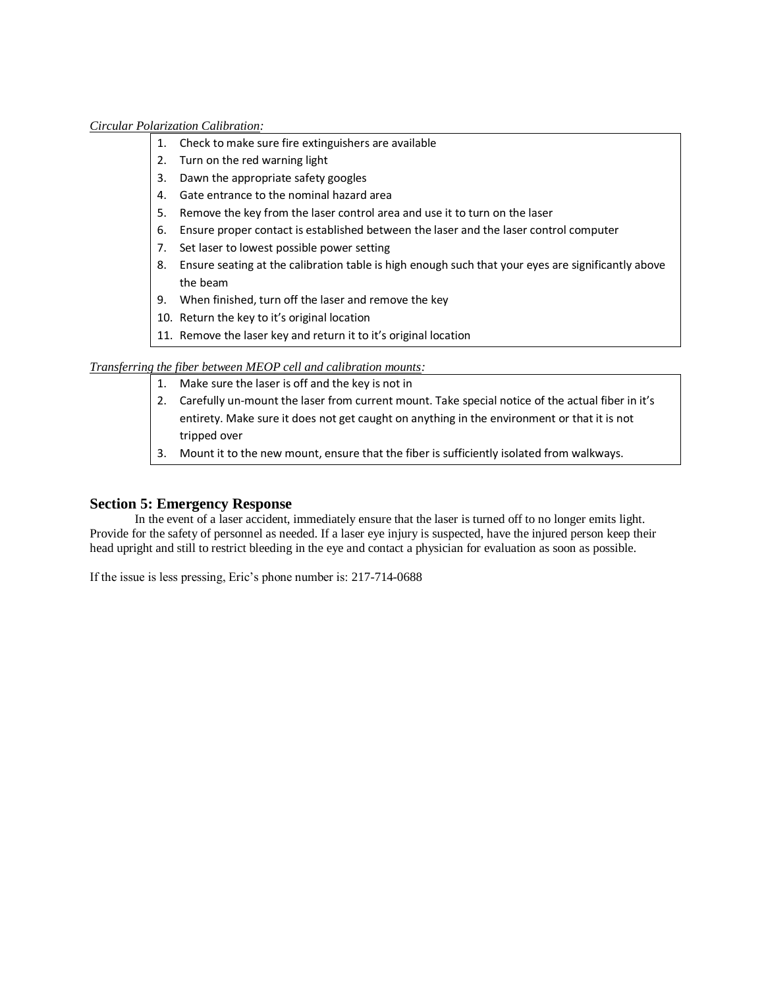#### *Circular Polarization Calibration:*

- 1. Check to make sure fire extinguishers are available
- 2. Turn on the red warning light
- 3. Dawn the appropriate safety googles
- 4. Gate entrance to the nominal hazard area
- 5. Remove the key from the laser control area and use it to turn on the laser
- 6. Ensure proper contact is established between the laser and the laser control computer
- 7. Set laser to lowest possible power setting
- 8. Ensure seating at the calibration table is high enough such that your eyes are significantly above the beam
- 9. When finished, turn off the laser and remove the key
- 10. Return the key to it's original location
- 11. Remove the laser key and return it to it's original location

## *Transferring the fiber between MEOP cell and calibration mounts:*

- 1. Make sure the laser is off and the key is not in
- 2. Carefully un-mount the laser from current mount. Take special notice of the actual fiber in it's entirety. Make sure it does not get caught on anything in the environment or that it is not tripped over
- 3. Mount it to the new mount, ensure that the fiber is sufficiently isolated from walkways.

# **Section 5: Emergency Response**

In the event of a laser accident, immediately ensure that the laser is turned off to no longer emits light. Provide for the safety of personnel as needed. If a laser eye injury is suspected, have the injured person keep their head upright and still to restrict bleeding in the eye and contact a physician for evaluation as soon as possible.

If the issue is less pressing, Eric's phone number is: 217-714-0688